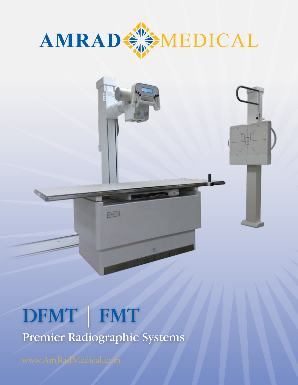



# DFMT | FMT Premier Radiographic Systems

E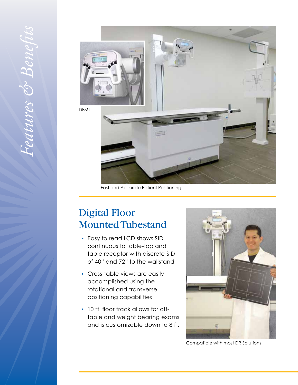

Fast and Accurate Patient Positioning

# Digital Floor Mounted Tubestand

- *•* Easy to read LCD shows SID continuous to table-top and table receptor with discrete SID of 40" and 72" to the wallstand
- *•* Cross-table views are easily accomplished using the rotational and transverse positioning capabilities
- *•* 10 ft. floor track allows for offtable and weight bearing exams and is customizable down to 8 ft.



Compatible with most DR Solutions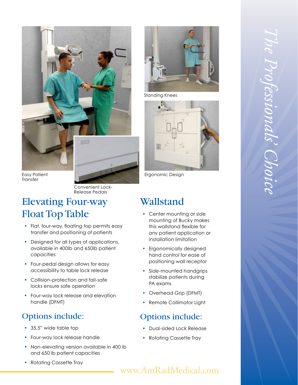

Easy Patient Transfer

> Convenient Lock-Release Pedals

### Elevating Four-way Float Top Table

- Flat, four-way, floating top permits easy transfer and positioning of patients
- Designed for all types of applications, available in 400lb and 650lb patien t capacities
- *•* Four-pedal design allows for eas y accessibility to table lock release
- *•* Collision-protection and fail-safe locks ensure safe operation
- *•* Four-way lock release and elevatio n handle (DFMT)

### Options include:

- *•* 35.5" wide table top
- *•* Four-way lock release handle
- *•* Non-elevating version available in 400 l b and 650 lb patient capacities
- *•* Rotating Cassette Tray



Standing Knees



Ergonomic Design

# Wallstand

- Center mounting or side mounting of Bucky make s this wallstand flexible fo r any patient application or installation limitation
- *•* Ergonomically designed hand control for ease o f positioning wall receptor
- *•* Side-mounted handgrips stabilize patients durin g PA exams
- *•* Overhead Grip (DFMT)
- *•* Remote Collimator Light

### Options include:

- *•* Dual-sided Lock Release
- Rotating Cassette Tray

# *The Professionals' Choice*

### www.AmRadMedical.com